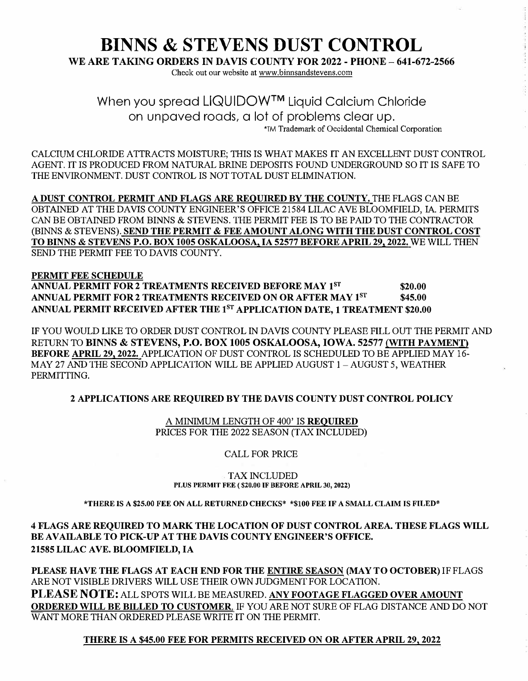# **BINNS & STEVENS DUST CONTROL**

**WE ARE TAKING ORDERS IN DAVIS COUNTY FOR 2022 - PHONE - 641-672-2566** 

Check out our website at www.binnsandstevens.com

When you spread LIQUIDOW™ Liquid Calcium Chloride on unpaved roads, a lot of problems clear up. 'TM Trademark of Occidental Chemical Corporation

CALCIUM CHLORIDE ATTRACTS MOISTURE; THIS IS WHAT MAKES IT AN EXCELLENT DUST CONTROL AGENT. IT IS PRODUCED FROM NATURAL BRINE DEPOSITS FOUND UNDERGROUND SO IT IS SAFE TO THE ENVIRONMENT. DUST CONTROL IS NOT TOTAL DUST ELIMINATION.

**A DUST CONTROL PERMIT AND FLAGS ARE REQUIRED BY THE COUNTY.** THE FLAGS CAN BE OBTAINED AT THE DAVIS COUNTY ENGINEER'S OFFICE 21584 LILAC A VE BLOOMFIELD, IA. PERMITS CAN BE OBTAINED FROM BINNS & STEVENS. THE PERMIT FEE IS TO BE PAID TO THE CONTRACTOR (BINNS **&** STEVENS). **SEND THE PERMIT** & **FEE AMOUNT ALONG WITH THE DUST CONTROL COST TO BINNS** & **STEVENS P.O. BOX 1005 OSKALOOSA, IA 52577 BEFORE APRIL 29, 2022.** WE WILL THEN SEND THE PERMIT FEE TO DAVIS COUNTY.

#### **PERMIT FEE SCHEDULE ANNUAL PERMIT FOR 2 TREATMENTS RECEIVED BEFORE MAY 1<sup>ST</sup> \$20.00 ANNUAL PERMIT FOR 2 TREATMENTS RECEIVED ON OR AFTER MAY 18T \$45.00 ANNUAL PERMIT RECEIVED AFTER THE 1 8T APPLICATION DATE, 1 TREATMENT \$20.00**

IF YOU WOULD LIKE TO ORDER DUST CONTROL IN DAVIS COUNTY PLEASE FILL OUT THE PERMIT AND RETURN TO **BINNS** & **STEVENS, P.O. BOX 1005 OSKALOOSA, IOWA. 52577 {WITH PAYMENT) BEFORE APRIL 29, 2022.** APPLICATION OF DUST CONTROL IS SCHEDULED TO BE APPLIED MAY 16- MAY 27 AND THE SECOND APPLICATION WILL BE APPLIED AUGUST 1 - AUGUST 5, WEATHER PERMITTING.

#### **2 APPLICATIONS ARE REQUIRED BY THE DAVIS COUNTY DUST CONTROL POLICY**

A MINIMUM LENGTH OF 400' IS **REQUIRED**  PRICES FOR THE 2022 SEASON (TAX INCLUDED)

#### CALL FOR PRICE

#### TAX INCLUDED **PLUS PERMIT FEE ( \$20.00 IF BEFORE APRIL 30, 2022)**

#### **\*THERE IS A \$25.00 FEE ON ALL RETURNED CHECKS\* \*\$100 FEE IF A SMALL CLAIM IS FILED\***

4 **FLAGS ARE REQUIRED TO MARK THE LOCATION OF DUST CONTROL AREA. THESE FLAGS WILL BE AVAILABLE TO PICK-UP AT THE DA VIS COUNTY ENGINEER'S OFFICE. 21585 LILAC AVE. BLOOMFIELD, IA** 

**PLEASE HAVE THE FLAGS AT EACH END FOR THE ENTIRE SEASON (MAY TO OCTOBER)** IF FLAGS ARE NOT VISIBLE DRIVERS WILL USE THEIR OWN JUDGMENT FOR LOCATION. **PLEASE NOTE:** ALL SPOTS WILL BE MEASURED. **ANY FOOTAGE FLAGGED OVER AMOUNT ORDERED WILL BE BILLED TO CUSTOMER.** IF YOU ARE NOT SURE OF FLAG DISTANCE AND DO NOT WANT MORE THAN ORDERED PLEASE WRITE IT ON THE PERMIT.

#### **THERE IS A \$45.00 FEE FOR PERMITS RECEIVED ON OR AFTER APRIL 29, 2022**